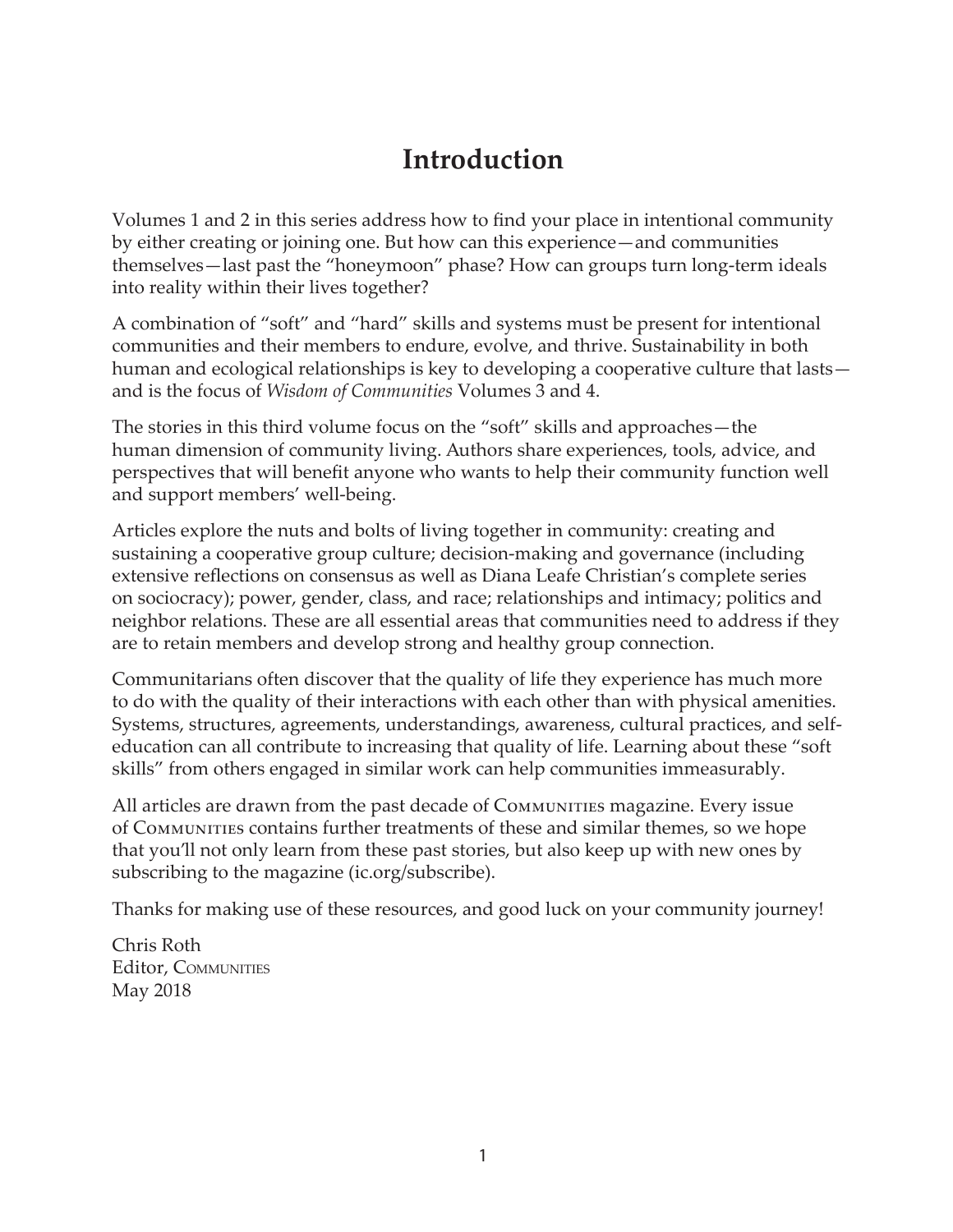## **Introduction**

Volumes 1 and 2 in this series address how to find your place in intentional community by either creating or joining one. But how can this experience—and communities themselves—last past the "honeymoon" phase? How can groups turn long-term ideals into reality within their lives together?

A combination of "soft" and "hard" skills and systems must be present for intentional communities and their members to endure, evolve, and thrive. Sustainability in both human and ecological relationships is key to developing a cooperative culture that lasts and is the focus of *Wisdom of Communities* Volumes 3 and 4.

The stories in this third volume focus on the "soft" skills and approaches—the human dimension of community living. Authors share experiences, tools, advice, and perspectives that will benefit anyone who wants to help their community function well and support members' well-being.

Articles explore the nuts and bolts of living together in community: creating and sustaining a cooperative group culture; decision-making and governance (including extensive reflections on consensus as well as Diana Leafe Christian's complete series on sociocracy); power, gender, class, and race; relationships and intimacy; politics and neighbor relations. These are all essential areas that communities need to address if they are to retain members and develop strong and healthy group connection.

Communitarians often discover that the quality of life they experience has much more to do with the quality of their interactions with each other than with physical amenities. Systems, structures, agreements, understandings, awareness, cultural practices, and selfeducation can all contribute to increasing that quality of life. Learning about these "soft skills" from others engaged in similar work can help communities immeasurably.

All articles are drawn from the past decade of Communities magazine. Every issue of Communities contains further treatments of these and similar themes, so we hope that you'll not only learn from these past stories, but also keep up with new ones by subscribing to the magazine (ic.org/subscribe).

Thanks for making use of these resources, and good luck on your community journey!

Chris Roth Editor, COMMUNITIES May 2018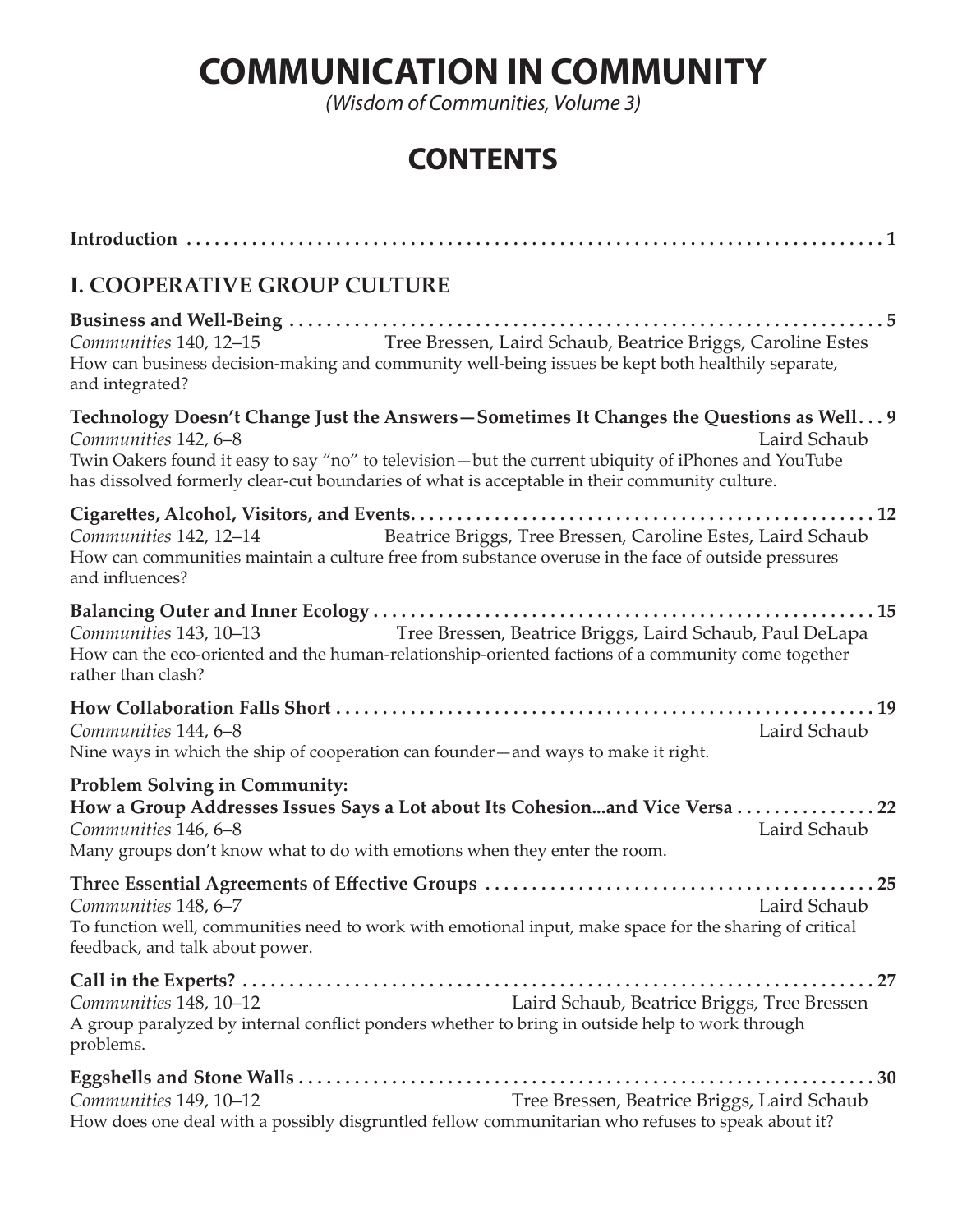## **COMMUNICATION IN COMMUNITY**

*(Wisdom of Communities, Volume 3)*

## **CONTENTS**

| <b>I. COOPERATIVE GROUP CULTURE</b>                                                                                                                                                                                                                                                                                                     |
|-----------------------------------------------------------------------------------------------------------------------------------------------------------------------------------------------------------------------------------------------------------------------------------------------------------------------------------------|
| Tree Bressen, Laird Schaub, Beatrice Briggs, Caroline Estes<br>Communities 140, 12-15<br>How can business decision-making and community well-being issues be kept both healthily separate,<br>and integrated?                                                                                                                           |
| Technology Doesn't Change Just the Answers-Sometimes It Changes the Questions as Well 9<br>Communities 142, 6-8<br>Laird Schaub<br>Twin Oakers found it easy to say "no" to television-but the current ubiquity of iPhones and YouTube<br>has dissolved formerly clear-cut boundaries of what is acceptable in their community culture. |
| Beatrice Briggs, Tree Bressen, Caroline Estes, Laird Schaub<br>Communities 142, 12–14<br>How can communities maintain a culture free from substance overuse in the face of outside pressures<br>and influences?                                                                                                                         |
| Tree Bressen, Beatrice Briggs, Laird Schaub, Paul DeLapa<br>Communities 143, 10-13<br>How can the eco-oriented and the human-relationship-oriented factions of a community come together<br>rather than clash?                                                                                                                          |
| Laird Schaub<br>Communities 144, 6–8<br>Nine ways in which the ship of cooperation can founder—and ways to make it right.                                                                                                                                                                                                               |
| <b>Problem Solving in Community:</b><br>How a Group Addresses Issues Says a Lot about Its Cohesionand Vice Versa  22<br>Communities 146, 6-8<br>Laird Schaub<br>Many groups don't know what to do with emotions when they enter the room.                                                                                               |
| Communities 148, 6-7<br>Laird Schaub<br>To function well, communities need to work with emotional input, make space for the sharing of critical<br>feedback, and talk about power.                                                                                                                                                      |
| Laird Schaub, Beatrice Briggs, Tree Bressen<br>Communities 148, 10-12<br>A group paralyzed by internal conflict ponders whether to bring in outside help to work through<br>problems.                                                                                                                                                   |
| Tree Bressen, Beatrice Briggs, Laird Schaub<br>Communities 149, 10-12<br>How does one deal with a possibly disgruntled fellow communitarian who refuses to speak about it?                                                                                                                                                              |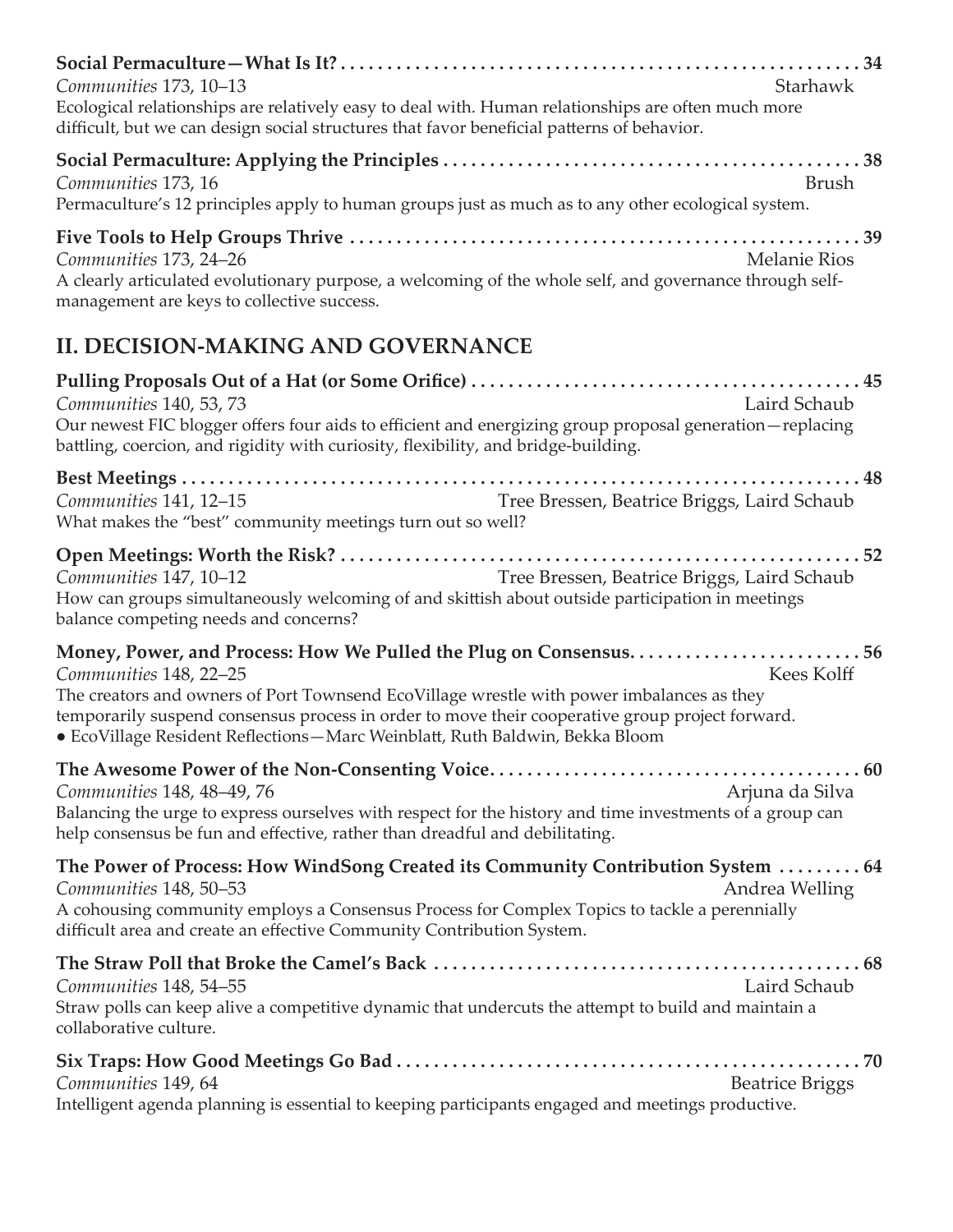| Starhawk<br>Communities 173, 10-13<br>Ecological relationships are relatively easy to deal with. Human relationships are often much more<br>difficult, but we can design social structures that favor beneficial patterns of behavior.                                                                                     |
|----------------------------------------------------------------------------------------------------------------------------------------------------------------------------------------------------------------------------------------------------------------------------------------------------------------------------|
| <b>Brush</b><br>Communities 173, 16<br>Permaculture's 12 principles apply to human groups just as much as to any other ecological system.                                                                                                                                                                                  |
| <b>Melanie Rios</b><br>Communities 173, 24-26<br>A clearly articulated evolutionary purpose, a welcoming of the whole self, and governance through self-<br>management are keys to collective success.                                                                                                                     |
| <b>II. DECISION-MAKING AND GOVERNANCE</b>                                                                                                                                                                                                                                                                                  |
| Communities 140, 53, 73<br>Laird Schaub<br>Our newest FIC blogger offers four aids to efficient and energizing group proposal generation-replacing<br>battling, coercion, and rigidity with curiosity, flexibility, and bridge-building.                                                                                   |
| Tree Bressen, Beatrice Briggs, Laird Schaub<br>Communities 141, 12-15<br>What makes the "best" community meetings turn out so well?                                                                                                                                                                                        |
| Communities 147, 10-12<br>Tree Bressen, Beatrice Briggs, Laird Schaub<br>How can groups simultaneously welcoming of and skittish about outside participation in meetings<br>balance competing needs and concerns?                                                                                                          |
| Communities 148, 22-25<br><b>Kees Kolff</b><br>The creators and owners of Port Townsend EcoVillage wrestle with power imbalances as they<br>temporarily suspend consensus process in order to move their cooperative group project forward.<br>· EcoVillage Resident Reflections-Marc Weinblatt, Ruth Baldwin, Bekka Bloom |
| Arjuna da Silva<br>Communities 148, 48-49, 76<br>Balancing the urge to express ourselves with respect for the history and time investments of a group can<br>help consensus be fun and effective, rather than dreadful and debilitating.                                                                                   |
| The Power of Process: How WindSong Created its Community Contribution System  64<br>Communities 148, 50-53<br>Andrea Welling<br>A cohousing community employs a Consensus Process for Complex Topics to tackle a perennially<br>difficult area and create an effective Community Contribution System.                      |
| Communities 148, 54–55<br>Laird Schaub<br>Straw polls can keep alive a competitive dynamic that undercuts the attempt to build and maintain a<br>collaborative culture.                                                                                                                                                    |
| Communities 149, 64<br><b>Beatrice Briggs</b><br>Intelligent agenda planning is essential to keeping participants engaged and meetings productive.                                                                                                                                                                         |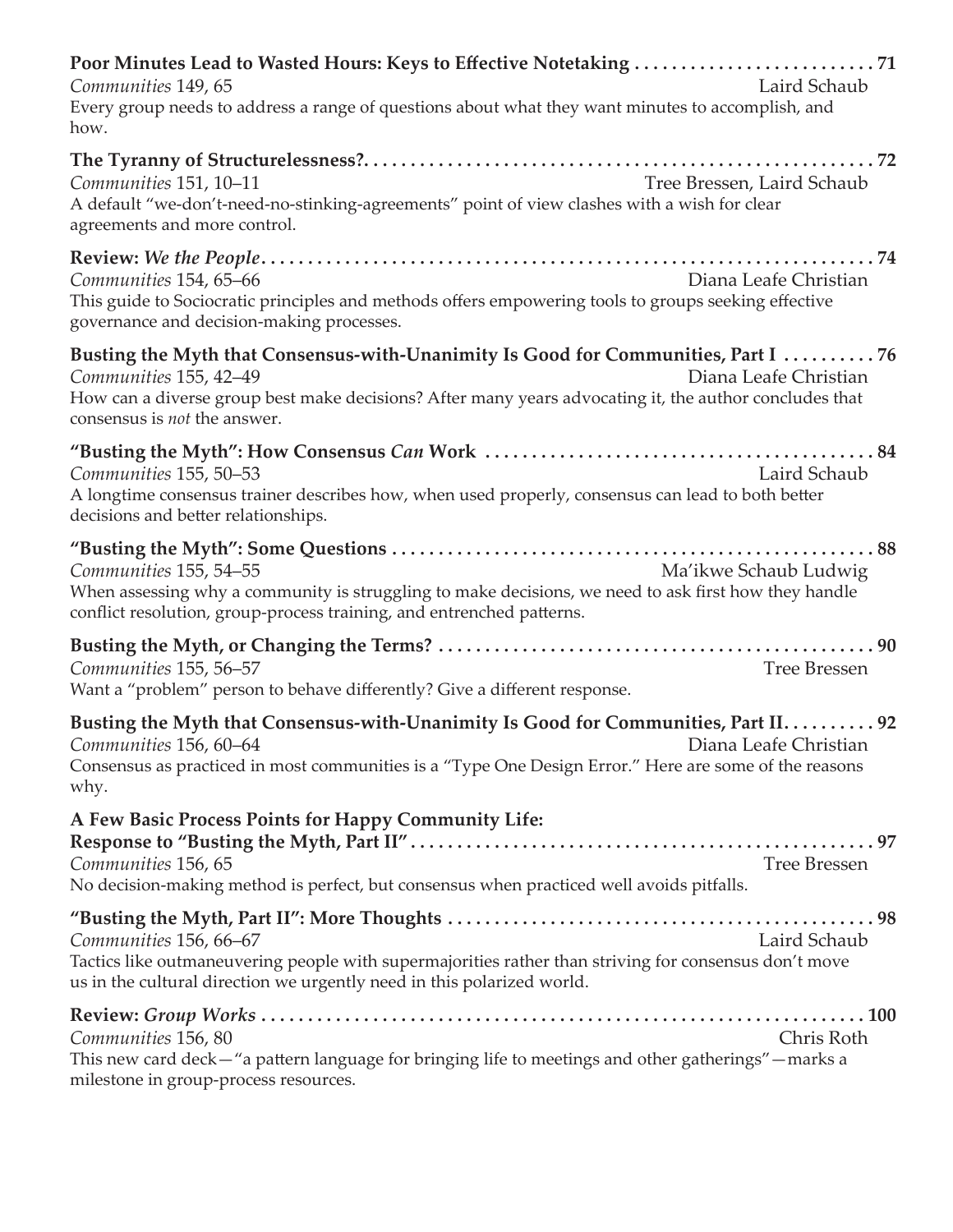| Laird Schaub<br>Communities 149, 65<br>Every group needs to address a range of questions about what they want minutes to accomplish, and<br>how.                                                                                                                                       |
|----------------------------------------------------------------------------------------------------------------------------------------------------------------------------------------------------------------------------------------------------------------------------------------|
| Tree Bressen, Laird Schaub<br>Communities 151, 10-11<br>A default "we-don't-need-no-stinking-agreements" point of view clashes with a wish for clear<br>agreements and more control.                                                                                                   |
| Communities 154, 65–66<br>Diana Leafe Christian<br>This guide to Sociocratic principles and methods offers empowering tools to groups seeking effective<br>governance and decision-making processes.                                                                                   |
| Busting the Myth that Consensus-with-Unanimity Is Good for Communities, Part I  76<br>Communities 155, 42-49<br>Diana Leafe Christian<br>How can a diverse group best make decisions? After many years advocating it, the author concludes that<br>consensus is <i>not</i> the answer. |
| Communities 155, 50-53<br>Laird Schaub<br>A longtime consensus trainer describes how, when used properly, consensus can lead to both better<br>decisions and better relationships.                                                                                                     |
| Ma'ikwe Schaub Ludwig<br>Communities 155, 54-55<br>When assessing why a community is struggling to make decisions, we need to ask first how they handle<br>conflict resolution, group-process training, and entrenched patterns.                                                       |
| Communities 155, 56-57<br><b>Tree Bressen</b><br>Want a "problem" person to behave differently? Give a different response.                                                                                                                                                             |
| Busting the Myth that Consensus-with-Unanimity Is Good for Communities, Part II. 92<br>Communities 156, 60–64<br>Diana Leafe Christian<br>Consensus as practiced in most communities is a "Type One Design Error." Here are some of the reasons<br>why.                                |
| A Few Basic Process Points for Happy Community Life:<br>Communities 156, 65<br><b>Tree Bressen</b><br>No decision-making method is perfect, but consensus when practiced well avoids pitfalls.                                                                                         |
| Communities 156, 66-67<br>Laird Schaub<br>Tactics like outmaneuvering people with supermajorities rather than striving for consensus don't move<br>us in the cultural direction we urgently need in this polarized world.                                                              |
| Communities 156, 80<br>Chris Roth<br>This new card deck-"a pattern language for bringing life to meetings and other gatherings"-marks a<br>milestone in group-process resources.                                                                                                       |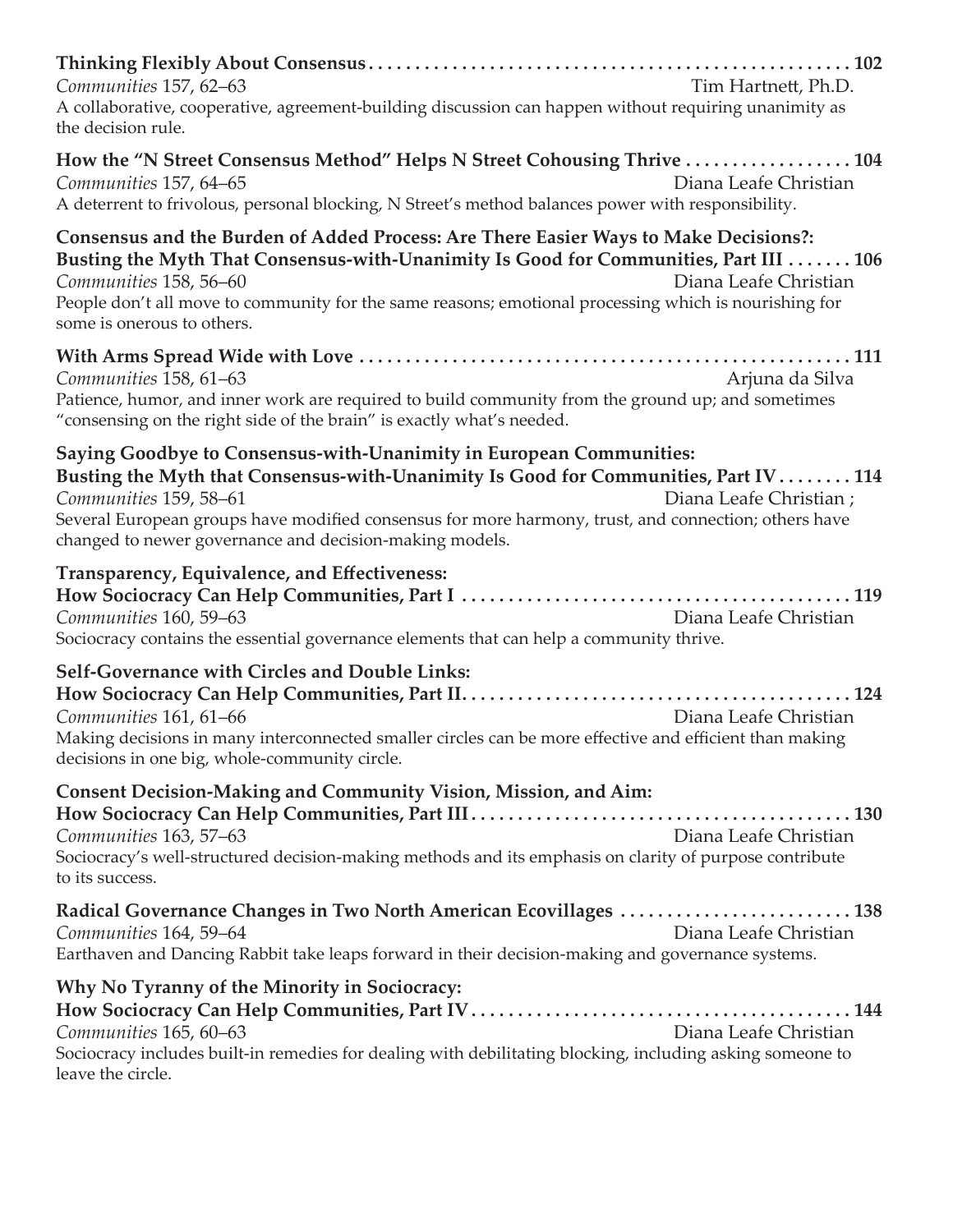| Communities 157, 62-63<br>Tim Hartnett, Ph.D.<br>A collaborative, cooperative, agreement-building discussion can happen without requiring unanimity as<br>the decision rule.                                                                                                                                                                                                       |
|------------------------------------------------------------------------------------------------------------------------------------------------------------------------------------------------------------------------------------------------------------------------------------------------------------------------------------------------------------------------------------|
| How the "N Street Consensus Method" Helps N Street Cohousing Thrive  104<br>Diana Leafe Christian<br>Communities 157, 64–65<br>A deterrent to frivolous, personal blocking, N Street's method balances power with responsibility.                                                                                                                                                  |
| Consensus and the Burden of Added Process: Are There Easier Ways to Make Decisions?:<br>Busting the Myth That Consensus-with-Unanimity Is Good for Communities, Part III  106<br>Diana Leafe Christian<br>Communities 158, 56-60<br>People don't all move to community for the same reasons; emotional processing which is nourishing for<br>some is onerous to others.            |
| Communities 158, 61-63<br>Arjuna da Silva<br>Patience, humor, and inner work are required to build community from the ground up; and sometimes<br>"consensing on the right side of the brain" is exactly what's needed.                                                                                                                                                            |
| Saying Goodbye to Consensus-with-Unanimity in European Communities:<br>Busting the Myth that Consensus-with-Unanimity Is Good for Communities, Part IV  114<br>Communities 159, 58-61<br>Diana Leafe Christian;<br>Several European groups have modified consensus for more harmony, trust, and connection; others have<br>changed to newer governance and decision-making models. |
| Transparency, Equivalence, and Effectiveness:<br>Communities 160, 59-63<br>Diana Leafe Christian<br>Sociocracy contains the essential governance elements that can help a community thrive.                                                                                                                                                                                        |
| <b>Self-Governance with Circles and Double Links:</b><br>Communities 161, 61-66<br>Diana Leafe Christian<br>Making decisions in many interconnected smaller circles can be more effective and efficient than making<br>decisions in one big, whole-community circle.                                                                                                               |
| Consent Decision-Making and Community Vision, Mission, and Aim:<br>Communities 163, 57-63<br>Diana Leafe Christian<br>Sociocracy's well-structured decision-making methods and its emphasis on clarity of purpose contribute<br>to its success.                                                                                                                                    |
| Radical Governance Changes in Two North American Ecovillages  138<br>Communities 164, 59-64<br>Diana Leafe Christian<br>Earthaven and Dancing Rabbit take leaps forward in their decision-making and governance systems.                                                                                                                                                           |
| Why No Tyranny of the Minority in Sociocracy:<br>Diana Leafe Christian<br>Communities 165, 60–63<br>Sociocracy includes built-in remedies for dealing with debilitating blocking, including asking someone to<br>leave the circle.                                                                                                                                                 |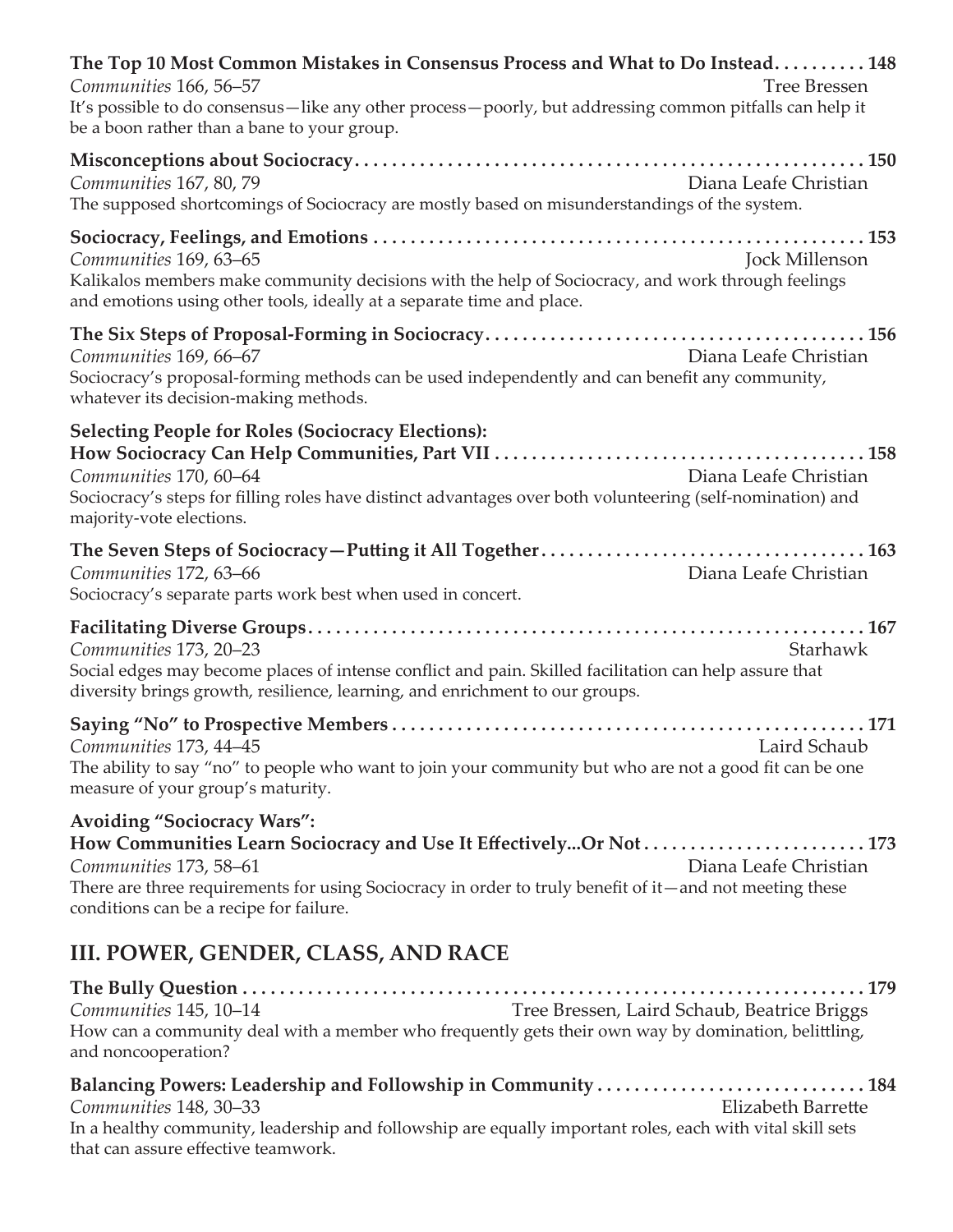| The Top 10 Most Common Mistakes in Consensus Process and What to Do Instead 148<br>Communities 166, 56-57<br>It's possible to do consensus-like any other process-poorly, but addressing common pitfalls can help it<br>be a boon rather than a bane to your group.              | <b>Tree Bressen</b>                         |
|----------------------------------------------------------------------------------------------------------------------------------------------------------------------------------------------------------------------------------------------------------------------------------|---------------------------------------------|
| Communities 167, 80, 79<br>The supposed shortcomings of Sociocracy are mostly based on misunderstandings of the system.                                                                                                                                                          | Diana Leafe Christian                       |
| Communities 169, 63-65<br>Kalikalos members make community decisions with the help of Sociocracy, and work through feelings<br>and emotions using other tools, ideally at a separate time and place.                                                                             | <b>Jock Millenson</b>                       |
| Communities 169, 66–67<br>Sociocracy's proposal-forming methods can be used independently and can benefit any community,<br>whatever its decision-making methods.                                                                                                                | Diana Leafe Christian                       |
| <b>Selecting People for Roles (Sociocracy Elections):</b><br>Communities 170, 60-64<br>Sociocracy's steps for filling roles have distinct advantages over both volunteering (self-nomination) and<br>majority-vote elections.                                                    | Diana Leafe Christian                       |
| Communities 172, 63-66<br>Sociocracy's separate parts work best when used in concert.                                                                                                                                                                                            | Diana Leafe Christian                       |
| Communities 173, 20-23<br>Social edges may become places of intense conflict and pain. Skilled facilitation can help assure that<br>diversity brings growth, resilience, learning, and enrichment to our groups.                                                                 | Starhawk                                    |
| Communities 173, 44-45<br>The ability to say "no" to people who want to join your community but who are not a good fit can be one<br>measure of your group's maturity.                                                                                                           | <b>Example 2</b> Laird Schaub               |
| Avoiding "Sociocracy Wars":<br>How Communities Learn Sociocracy and Use It EffectivelyOr Not 173<br>Communities 173, 58-61<br>There are three requirements for using Sociocracy in order to truly benefit of it-and not meeting these<br>conditions can be a recipe for failure. | Diana Leafe Christian                       |
| III. POWER, GENDER, CLASS, AND RACE                                                                                                                                                                                                                                              |                                             |
| Communities 145, 10-14                                                                                                                                                                                                                                                           | Tree Bressen, Laird Schaub, Beatrice Briggs |

How can a community deal with a member who frequently gets their own way by domination, belittling, and noncooperation?

| Communities 148, 30–33                                                                                    | Elizabeth Barrette |
|-----------------------------------------------------------------------------------------------------------|--------------------|
| In a healthy community, leadership and followship are equally important roles, each with vital skill sets |                    |
| that can assure effective teamwork.                                                                       |                    |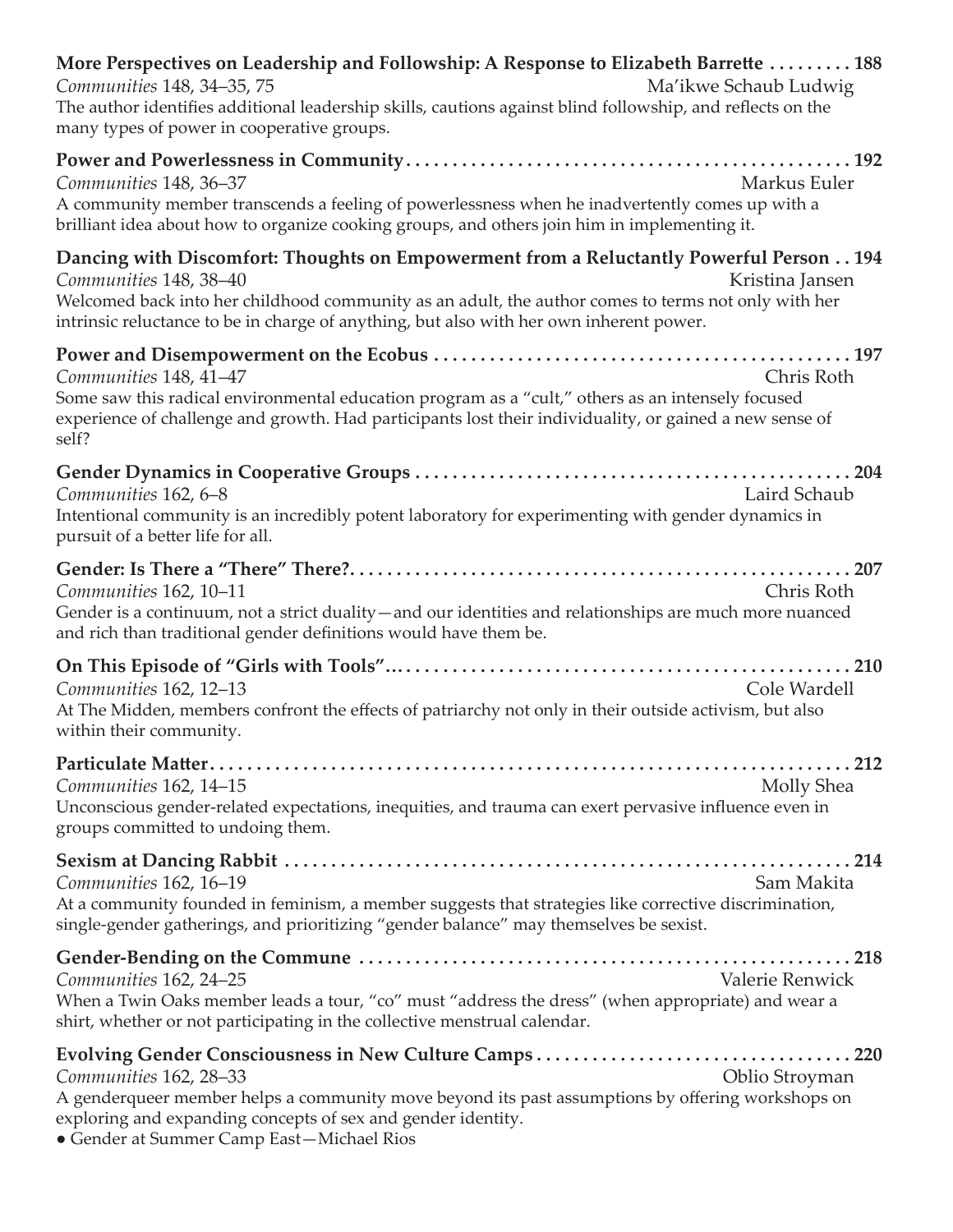| More Perspectives on Leadership and Followship: A Response to Elizabeth Barrette  188<br>Communities 148, 34-35, 75<br>Ma'ikwe Schaub Ludwig<br>The author identifies additional leadership skills, cautions against blind followship, and reflects on the<br>many types of power in cooperative groups.                               |
|----------------------------------------------------------------------------------------------------------------------------------------------------------------------------------------------------------------------------------------------------------------------------------------------------------------------------------------|
| Communities 148, 36-37<br>Markus Euler<br>A community member transcends a feeling of powerlessness when he inadvertently comes up with a<br>brilliant idea about how to organize cooking groups, and others join him in implementing it.                                                                                               |
| Dancing with Discomfort: Thoughts on Empowerment from a Reluctantly Powerful Person 194<br>Communities 148, 38-40<br>Kristina Jansen<br>Welcomed back into her childhood community as an adult, the author comes to terms not only with her<br>intrinsic reluctance to be in charge of anything, but also with her own inherent power. |
| Communities 148, 41-47<br>Chris Roth<br>Some saw this radical environmental education program as a "cult," others as an intensely focused<br>experience of challenge and growth. Had participants lost their individuality, or gained a new sense of<br>self?                                                                          |
| Communities 162, 6-8<br>Laird Schaub<br>Intentional community is an incredibly potent laboratory for experimenting with gender dynamics in<br>pursuit of a better life for all.                                                                                                                                                        |
| Communities 162, 10-11<br>Chris Roth<br>Gender is a continuum, not a strict duality - and our identities and relationships are much more nuanced<br>and rich than traditional gender definitions would have them be.                                                                                                                   |
| Communities 162, 12-13<br>Cole Wardell<br>At The Midden, members confront the effects of patriarchy not only in their outside activism, but also<br>within their community.                                                                                                                                                            |
| Molly Shea<br>Communities 162, 14-15<br>Unconscious gender-related expectations, inequities, and trauma can exert pervasive influence even in<br>groups committed to undoing them.                                                                                                                                                     |
| Communities 162, 16–19<br>Sam Makita<br>At a community founded in feminism, a member suggests that strategies like corrective discrimination,<br>single-gender gatherings, and prioritizing "gender balance" may themselves be sexist.                                                                                                 |
| Communities 162, 24-25<br>Valerie Renwick<br>When a Twin Oaks member leads a tour, "co" must "address the dress" (when appropriate) and wear a<br>shirt, whether or not participating in the collective menstrual calendar.                                                                                                            |
| Communities 162, 28-33<br>Oblio Stroyman<br>A genderqueer member helps a community move beyond its past assumptions by offering workshops on<br>exploring and expanding concepts of sex and gender identity.<br>• Gender at Summer Camp East-Michael Rios                                                                              |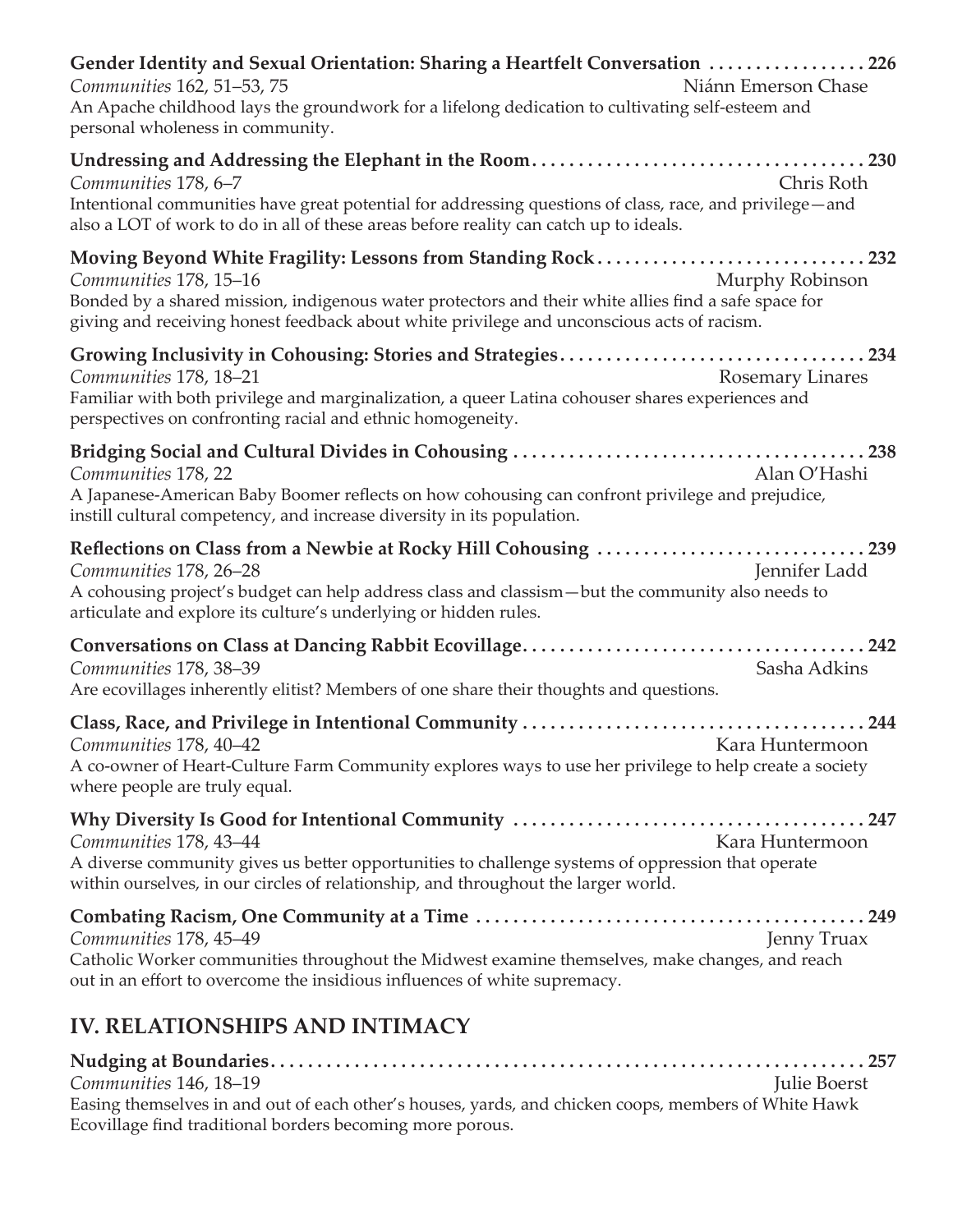| Gender Identity and Sexual Orientation: Sharing a Heartfelt Conversation 226<br>Niánn Emerson Chase<br>Communities 162, 51–53, 75<br>An Apache childhood lays the groundwork for a lifelong dedication to cultivating self-esteem and<br>personal wholeness in community.                                       |
|-----------------------------------------------------------------------------------------------------------------------------------------------------------------------------------------------------------------------------------------------------------------------------------------------------------------|
| Communities 178, 6-7<br>Chris Roth<br>Intentional communities have great potential for addressing questions of class, race, and privilege-and<br>also a LOT of work to do in all of these areas before reality can catch up to ideals.                                                                          |
| Moving Beyond White Fragility: Lessons from Standing Rock232<br>Communities 178, 15-16<br>Murphy Robinson<br>Bonded by a shared mission, indigenous water protectors and their white allies find a safe space for<br>giving and receiving honest feedback about white privilege and unconscious acts of racism. |
| Communities 178, 18-21<br><b>Rosemary Linares</b><br>Familiar with both privilege and marginalization, a queer Latina cohouser shares experiences and<br>perspectives on confronting racial and ethnic homogeneity.                                                                                             |
| Alan O'Hashi<br>Communities 178, 22<br>A Japanese-American Baby Boomer reflects on how cohousing can confront privilege and prejudice,<br>instill cultural competency, and increase diversity in its population.                                                                                                |
| Reflections on Class from a Newbie at Rocky Hill Cohousing  239<br>Communities 178, 26-28<br>Jennifer Ladd<br>A cohousing project's budget can help address class and classism-but the community also needs to<br>articulate and explore its culture's underlying or hidden rules.                              |
| Communities 178, 38-39<br>Sasha Adkins<br>Are ecovillages inherently elitist? Members of one share their thoughts and questions.                                                                                                                                                                                |
| Communities 178, 40–42 Kara Huntermoon<br>A co-owner of Heart-Culture Farm Community explores ways to use her privilege to help create a society<br>where people are truly equal.                                                                                                                               |
| Kara Huntermoon<br>Communities 178, 43–44<br>A diverse community gives us better opportunities to challenge systems of oppression that operate<br>within ourselves, in our circles of relationship, and throughout the larger world.                                                                            |
| Communities 178, 45–49<br>Jenny Truax<br>Catholic Worker communities throughout the Midwest examine themselves, make changes, and reach<br>out in an effort to overcome the insidious influences of white supremacy.                                                                                            |
| <b>IV. RELATIONSHIPS AND INTIMACY</b>                                                                                                                                                                                                                                                                           |

## **Nudging at Boundaries . . . . . . . . . . . . . . . . . . . . . . . . . . . . . . . . . . . . . . . . . . . . . . . . . . . . . . . . . . . . . . . . 257** *Communities* 146, 18–19 Julie Boerst Easing themselves in and out of each other's houses, yards, and chicken coops, members of White Hawk Ecovillage find traditional borders becoming more porous.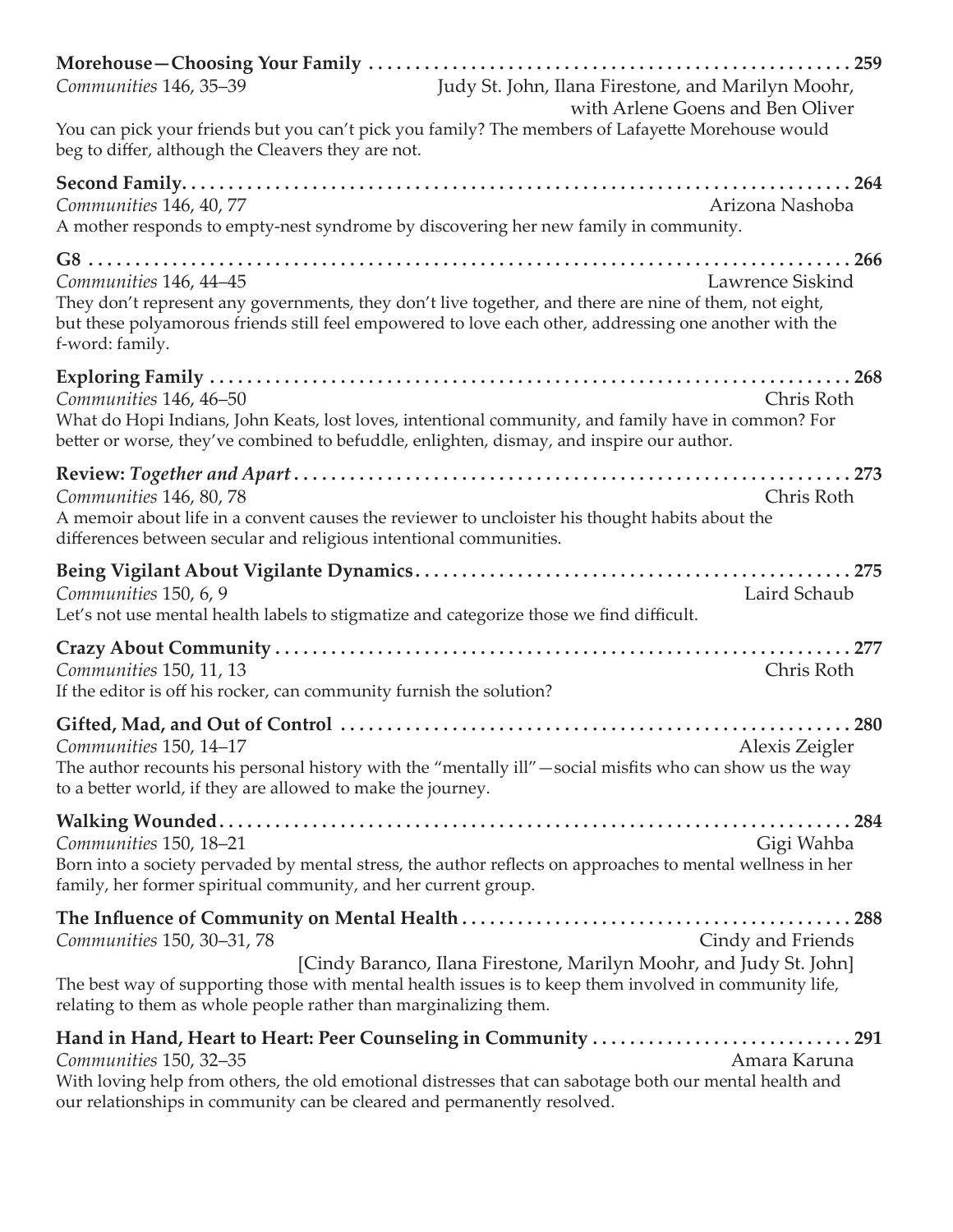| Communities 146, 35-39                                                                                                                                                                                                                                                          | Judy St. John, Ilana Firestone, and Marilyn Moohr,<br>with Arlene Goens and Ben Oliver  |
|---------------------------------------------------------------------------------------------------------------------------------------------------------------------------------------------------------------------------------------------------------------------------------|-----------------------------------------------------------------------------------------|
| You can pick your friends but you can't pick you family? The members of Lafayette Morehouse would<br>beg to differ, although the Cleavers they are not.                                                                                                                         |                                                                                         |
| Communities 146, 40, 77<br>A mother responds to empty-nest syndrome by discovering her new family in community.                                                                                                                                                                 | Arizona Nashoba                                                                         |
| Communities 146, 44-45<br>They don't represent any governments, they don't live together, and there are nine of them, not eight,<br>but these polyamorous friends still feel empowered to love each other, addressing one another with the<br>f-word: family.                   | Lawrence Siskind                                                                        |
| Communities 146, 46-50<br>What do Hopi Indians, John Keats, lost loves, intentional community, and family have in common? For<br>better or worse, they've combined to befuddle, enlighten, dismay, and inspire our author.                                                      | Chris Roth                                                                              |
| Communities 146, 80, 78<br>A memoir about life in a convent causes the reviewer to uncloister his thought habits about the<br>differences between secular and religious intentional communities.                                                                                | Chris Roth                                                                              |
| Communities 150, 6, 9<br>Let's not use mental health labels to stigmatize and categorize those we find difficult.                                                                                                                                                               | Laird Schaub                                                                            |
| Communities 150, 11, 13<br>If the editor is off his rocker, can community furnish the solution?                                                                                                                                                                                 | Chris Roth                                                                              |
| Communities 150, 14-17<br>The author recounts his personal history with the "mentally ill" - social misfits who can show us the way<br>to a better world, if they are allowed to make the journey.                                                                              | Alexis Zeigler                                                                          |
| Communities 150, 18–21<br>Born into a society pervaded by mental stress, the author reflects on approaches to mental wellness in her<br>family, her former spiritual community, and her current group.                                                                          | Gigi Wahba                                                                              |
| Communities 150, 30–31, 78<br>The best way of supporting those with mental health issues is to keep them involved in community life,<br>relating to them as whole people rather than marginalizing them.                                                                        | Cindy and Friends<br>[Cindy Baranco, Ilana Firestone, Marilyn Moohr, and Judy St. John] |
| Hand in Hand, Heart to Heart: Peer Counseling in Community  291<br>Communities 150, 32-35<br>With loving help from others, the old emotional distresses that can sabotage both our mental health and<br>our relationships in community can be cleared and permanently resolved. | Amara Karuna                                                                            |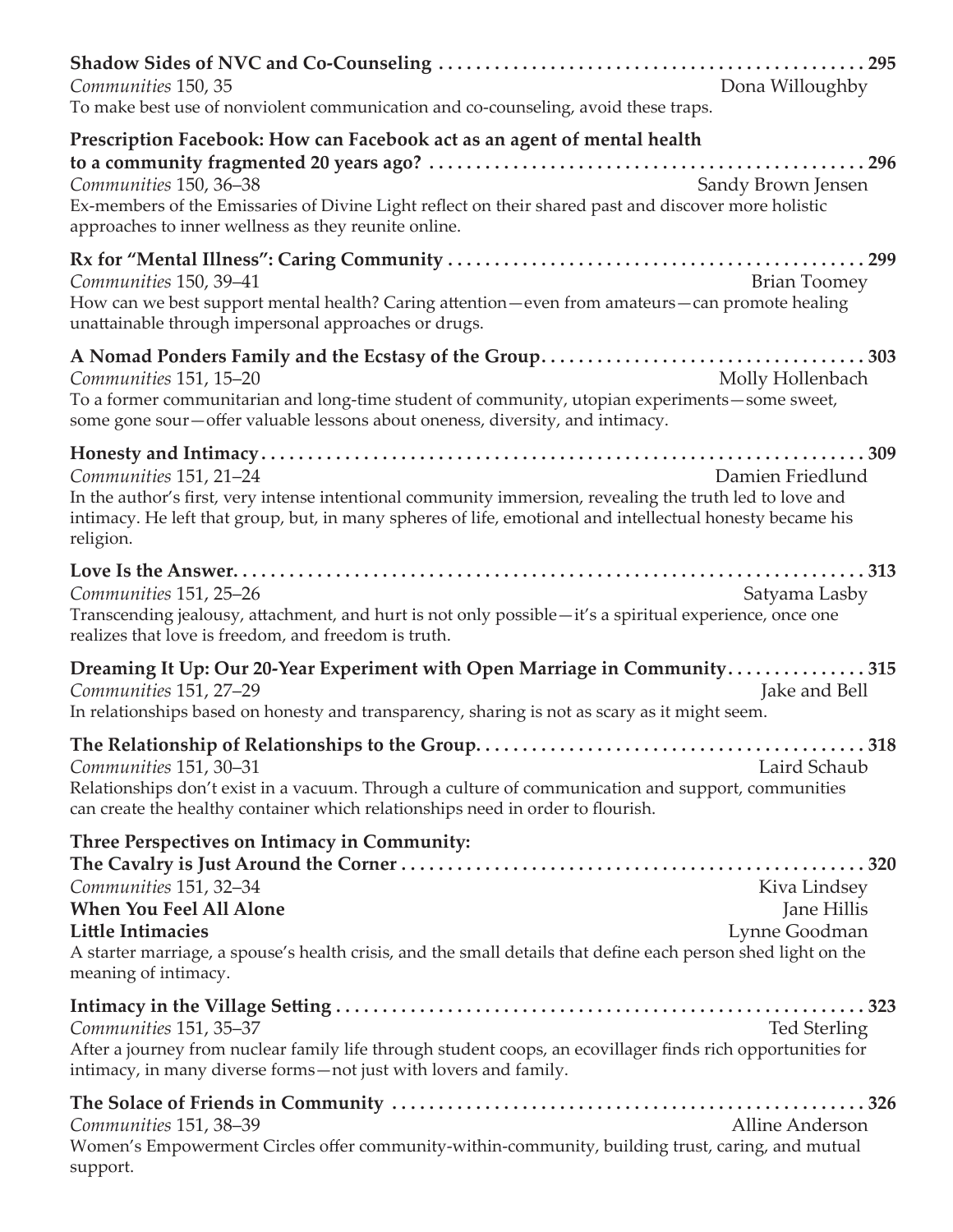| Dona Willoughby<br>Communities 150, 35<br>To make best use of nonviolent communication and co-counseling, avoid these traps.                                                                                                                                                     |
|----------------------------------------------------------------------------------------------------------------------------------------------------------------------------------------------------------------------------------------------------------------------------------|
| Prescription Facebook: How can Facebook act as an agent of mental health<br>Sandy Brown Jensen<br>Communities 150, 36-38                                                                                                                                                         |
| Ex-members of the Emissaries of Divine Light reflect on their shared past and discover more holistic<br>approaches to inner wellness as they reunite online.                                                                                                                     |
| Communities 150, 39-41<br><b>Brian Toomey</b><br>How can we best support mental health? Caring attention—even from amateurs—can promote healing<br>unattainable through impersonal approaches or drugs.                                                                          |
| Communities 151, 15-20<br>Molly Hollenbach<br>To a former communitarian and long-time student of community, utopian experiments-some sweet,<br>some gone sour—offer valuable lessons about oneness, diversity, and intimacy.                                                     |
| Communities 151, 21-24<br>Damien Friedlund<br>In the author's first, very intense intentional community immersion, revealing the truth led to love and<br>intimacy. He left that group, but, in many spheres of life, emotional and intellectual honesty became his<br>religion. |
| Communities 151, 25-26<br>Satyama Lasby<br>Transcending jealousy, attachment, and hurt is not only possible-it's a spiritual experience, once one<br>realizes that love is freedom, and freedom is truth.                                                                        |
| Dreaming It Up: Our 20-Year Experiment with Open Marriage in Community315<br>Communities 151, 27-29<br>Jake and Bell<br>In relationships based on honesty and transparency, sharing is not as scary as it might seem.                                                            |
| 318                                                                                                                                                                                                                                                                              |
| Communities 151, 30–31<br>Laird Schaub<br>Relationships don't exist in a vacuum. Through a culture of communication and support, communities<br>can create the healthy container which relationships need in order to flourish.                                                  |
| Three Perspectives on Intimacy in Community:                                                                                                                                                                                                                                     |
|                                                                                                                                                                                                                                                                                  |
| Communities 151, 32-34<br>Kiva Lindsey                                                                                                                                                                                                                                           |
| <b>When You Feel All Alone</b><br><b>Jane Hillis</b><br><b>Little Intimacies</b><br>Lynne Goodman                                                                                                                                                                                |
| A starter marriage, a spouse's health crisis, and the small details that define each person shed light on the<br>meaning of intimacy.                                                                                                                                            |
|                                                                                                                                                                                                                                                                                  |
| Communities 151, 35-37<br><b>Ted Sterling</b><br>After a journey from nuclear family life through student coops, an ecovillager finds rich opportunities for<br>intimacy, in many diverse forms-not just with lovers and family.                                                 |
|                                                                                                                                                                                                                                                                                  |
| <b>Alline Anderson</b><br>Communities 151, 38-39<br>Women's Empowerment Circles offer community-within-community, building trust, caring, and mutual<br>support.                                                                                                                 |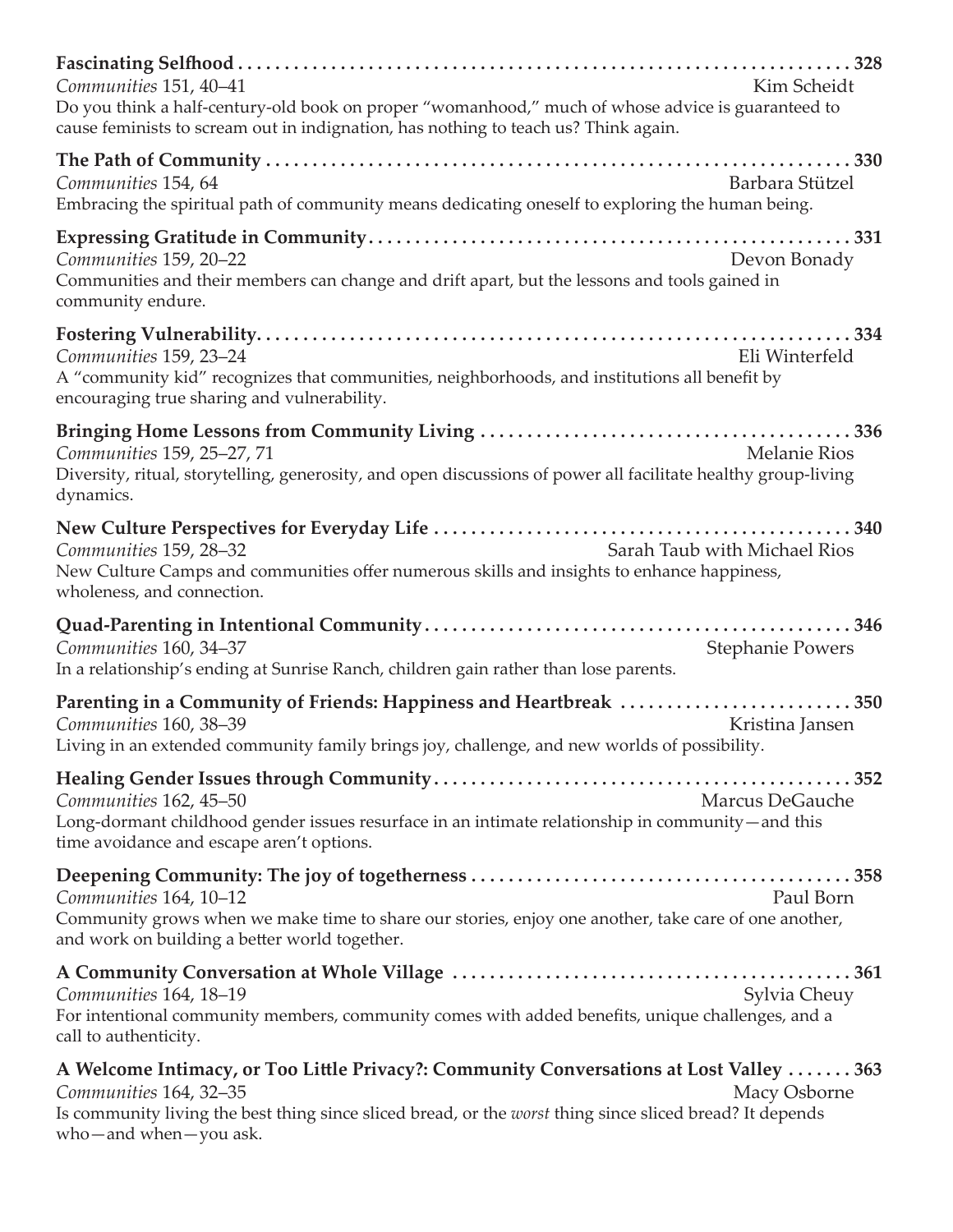| Kim Scheidt<br>Communities 151, 40-41<br>Do you think a half-century-old book on proper "womanhood," much of whose advice is guaranteed to<br>cause feminists to scream out in indignation, has nothing to teach us? Think again.                                      |
|------------------------------------------------------------------------------------------------------------------------------------------------------------------------------------------------------------------------------------------------------------------------|
| Barbara Stützel<br>Communities 154, 64<br>Embracing the spiritual path of community means dedicating oneself to exploring the human being.                                                                                                                             |
| Communities 159, 20-22<br>Devon Bonady<br>Communities and their members can change and drift apart, but the lessons and tools gained in<br>community endure.                                                                                                           |
| Communities 159, 23-24<br>Eli Winterfeld<br>A "community kid" recognizes that communities, neighborhoods, and institutions all benefit by<br>encouraging true sharing and vulnerability.                                                                               |
| Communities 159, 25-27, 71<br><b>Melanie Rios</b><br>Diversity, ritual, storytelling, generosity, and open discussions of power all facilitate healthy group-living<br>dynamics.                                                                                       |
| Sarah Taub with Michael Rios<br>Communities 159, 28-32<br>New Culture Camps and communities offer numerous skills and insights to enhance happiness,<br>wholeness, and connection.                                                                                     |
| <b>Stephanie Powers</b><br>Communities 160, 34-37<br>In a relationship's ending at Sunrise Ranch, children gain rather than lose parents.                                                                                                                              |
| Parenting in a Community of Friends: Happiness and Heartbreak 350<br>Communities 160, 38-39<br>Kristina Jansen<br>Living in an extended community family brings joy, challenge, and new worlds of possibility.                                                         |
| Marcus DeGauche<br>Communities 162, 45-50<br>Long-dormant childhood gender issues resurface in an intimate relationship in community-and this<br>time avoidance and escape aren't options.                                                                             |
| Communities 164, 10-12<br>Paul Born<br>Community grows when we make time to share our stories, enjoy one another, take care of one another,<br>and work on building a better world together.                                                                           |
| Sylvia Cheuy<br>Communities 164, 18–19<br>For intentional community members, community comes with added benefits, unique challenges, and a<br>call to authenticity.                                                                                                    |
| A Welcome Intimacy, or Too Little Privacy?: Community Conversations at Lost Valley  363<br>Communities 164, 32-35<br>Macy Osborne<br>Is community living the best thing since sliced bread, or the worst thing since sliced bread? It depends<br>who-and when-you ask. |